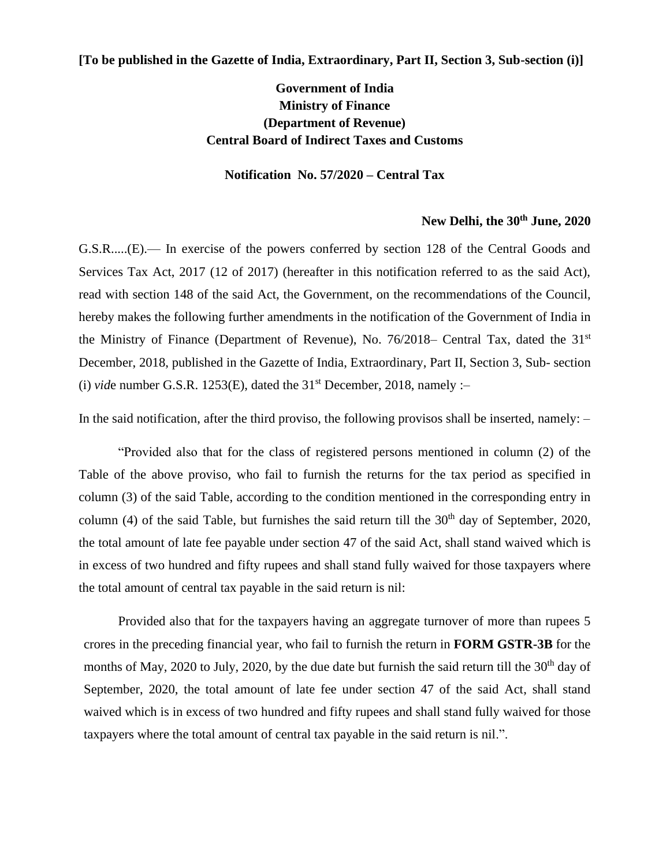## **[To be published in the Gazette of India, Extraordinary, Part II, Section 3, Sub-section (i)]**

## **Government of India Ministry of Finance (Department of Revenue) Central Board of Indirect Taxes and Customs**

## **Notification No. 57/2020 – Central Tax**

## **New Delhi, the 30th June, 2020**

G.S.R.....(E).— In exercise of the powers conferred by section 128 of the Central Goods and Services Tax Act, 2017 (12 of 2017) (hereafter in this notification referred to as the said Act), read with section 148 of the said Act, the Government, on the recommendations of the Council, hereby makes the following further amendments in the notification of the Government of India in the Ministry of Finance (Department of Revenue), No. 76/2018– Central Tax, dated the 31st December, 2018, published in the Gazette of India, Extraordinary, Part II, Section 3, Sub- section (i) *vide* number G.S.R. 1253(E), dated the  $31<sup>st</sup>$  December, 2018, namely :-

In the said notification, after the third proviso, the following provisos shall be inserted, namely:  $-$ 

"Provided also that for the class of registered persons mentioned in column (2) of the Table of the above proviso, who fail to furnish the returns for the tax period as specified in column (3) of the said Table, according to the condition mentioned in the corresponding entry in column (4) of the said Table, but furnishes the said return till the  $30<sup>th</sup>$  day of September, 2020, the total amount of late fee payable under section 47 of the said Act, shall stand waived which is in excess of two hundred and fifty rupees and shall stand fully waived for those taxpayers where the total amount of central tax payable in the said return is nil:

Provided also that for the taxpayers having an aggregate turnover of more than rupees 5 crores in the preceding financial year, who fail to furnish the return in **FORM GSTR-3B** for the months of May, 2020 to July, 2020, by the due date but furnish the said return till the  $30<sup>th</sup>$  day of September, 2020, the total amount of late fee under section 47 of the said Act, shall stand waived which is in excess of two hundred and fifty rupees and shall stand fully waived for those taxpayers where the total amount of central tax payable in the said return is nil.".